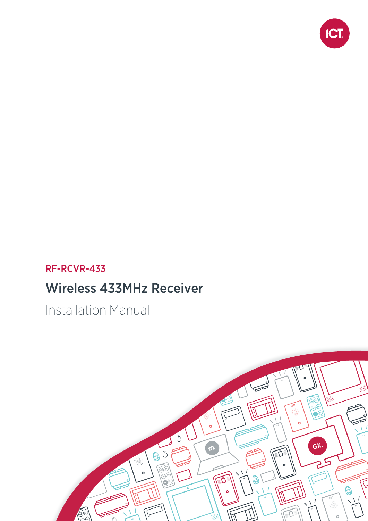

## RF-RCVR-433

## Wireless 433MHz Receiver

Installation Manual

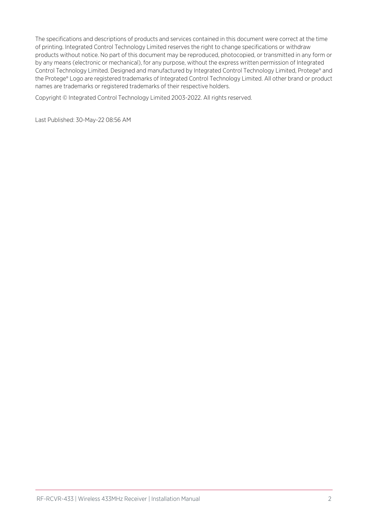The specifications and descriptions of products and services contained in this document were correct at the time of printing. Integrated Control Technology Limited reserves the right to change specifications or withdraw products without notice. No part of this document may be reproduced, photocopied, or transmitted in any form or by any means (electronic or mechanical), for any purpose, without the express written permission of Integrated Control Technology Limited. Designed and manufactured by Integrated Control Technology Limited, Protege® and the Protege® Logo are registered trademarks of Integrated Control Technology Limited. All other brand or product names are trademarks or registered trademarks of their respective holders.

Copyright © Integrated Control Technology Limited 2003-2022. All rights reserved.

Last Published: 30-May-22 08:56 AM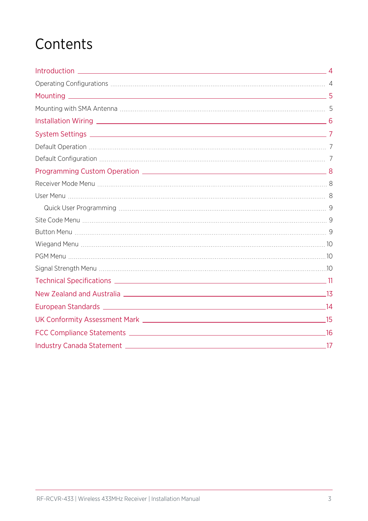## **Contents**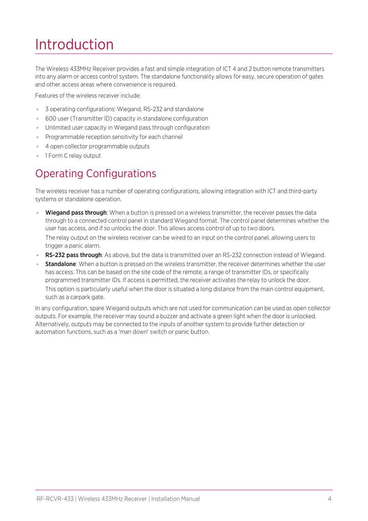# <span id="page-3-0"></span>Introduction

The Wireless 433MHz Receiver provides a fast and simple integration of ICT 4 and 2 button remote transmitters into any alarm or access control system. The standalone functionality allows for easy, secure operation of gates and other access areas where convenience is required.

Features of the wireless receiver include:

- 3 operating configurations: Wiegand, RS-232 and standalone
- ⦁ 600 user (Transmitter ID) capacity in standalone configuration
- ⦁ Unlimited user capacity in Wiegand pass through configuration
- ⦁ Programmable reception sensitivity for each channel
- ⦁ 4 open collector programmable outputs
- <span id="page-3-1"></span>● 1 Form C relay output

## Operating Configurations

The wireless receiver has a number of operating configurations, allowing integration with ICT and third-party systems or standalone operation.

- Wiegand pass through: When a button is pressed on a wireless transmitter, the receiver passes the data through to a connected control panel in standard Wiegand format. The control panel determines whether the user has access, and if so unlocks the door. This allows access control of up to two doors. The relay output on the wireless receiver can be wired to an input on the control panel, allowing users to trigger a panic alarm.
- RS-232 pass through: As above, but the data is transmitted over an RS-232 connection instead of Wiegand.
- Standalone: When a button is pressed on the wireless transmitter, the receiver determines whether the user has access. This can be based on the site code of the remote, a range of transmitter IDs, or specifically programmed transmitter IDs. If access is permitted, the receiver activates the relay to unlock the door. This option is particularly useful when the door is situated a long distance from the main control equipment, such as a carpark gate.

In any configuration, spare Wiegand outputs which are not used for communication can be used as open collector outputs. For example, the receiver may sound a buzzer and activate a green light when the door is unlocked. Alternatively, outputs may be connected to the inputs of another system to provide further detection or automation functions, such as a 'man down' switch or panic button.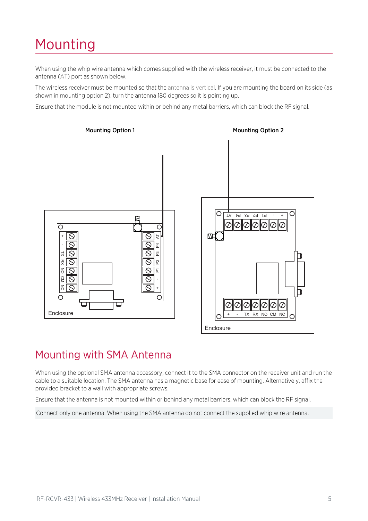# <span id="page-4-0"></span>Mounting

When using the whip wire antenna which comes supplied with the wireless receiver, it must be connected to the antenna (AT) port as shown below.

The wireless receiver must be mounted so that the antenna is vertical. If you are mounting the board on its side (as shown in mounting option 2), turn the antenna 180 degrees so it is pointing up.

Ensure that the module is not mounted within or behind any metal barriers, which can block the RF signal.



## <span id="page-4-1"></span>Mounting with SMA Antenna

When using the optional SMA antenna accessory, connect it to the SMA connector on the receiver unit and run the cable to a suitable location. The SMA antenna has a magnetic base for ease of mounting. Alternatively, affix the provided bracket to a wall with appropriate screws.

Ensure that the antenna is not mounted within or behind any metal barriers, which can block the RF signal.

Connect only one antenna. When using the SMA antenna do not connect the supplied whip wire antenna.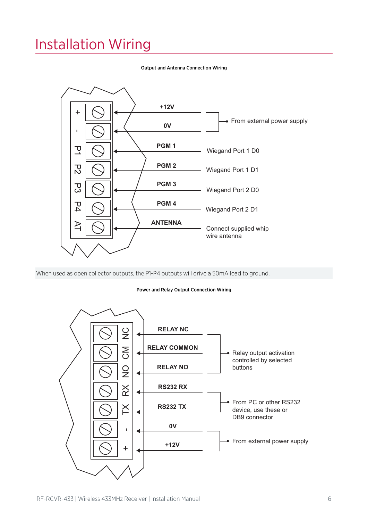## <span id="page-5-0"></span>Installation Wiring



#### Output and Antenna Connection Wiring

When used as open collector outputs, the P1-P4 outputs will drive a 50mA load to ground.

#### Power and Relay Output Connection Wiring

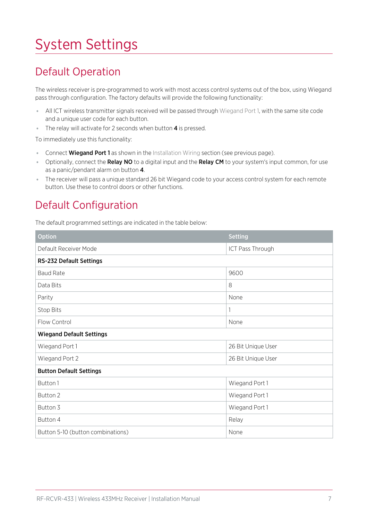# <span id="page-6-0"></span>System Settings

## <span id="page-6-1"></span>Default Operation

The wireless receiver is pre-programmed to work with most access control systems out of the box, using Wiegand pass through configuration. The factory defaults will provide the following functionality:

- ⦁ All ICT wireless transmitter signals received will be passed through Wiegand Port 1, with the same site code and a unique user code for each button.
- The relay will activate for 2 seconds when button 4 is pressed.

To immediately use this functionality:

- Connect **Wiegand Port 1** as shown in the Installation Wiring section (see [previous](#page-5-0) page).
- Optionally, connect the **Relay NO** to a digital input and the **Relay CM** to your system's input common, for use as a panic/pendant alarm on button 4.
- <span id="page-6-2"></span>⦁ The receiver will pass a unique standard 26 bit Wiegand code to your access control system for each remote button. Use these to control doors or other functions.

## Default Configuration

The default programmed settings are indicated in the table below:

| Option                            | <b>Setting</b>     |  |
|-----------------------------------|--------------------|--|
| Default Receiver Mode             | ICT Pass Through   |  |
| RS-232 Default Settings           |                    |  |
| <b>Baud Rate</b>                  | 9600               |  |
| Data Bits                         | 8                  |  |
| Parity                            | None               |  |
| Stop Bits                         | 1                  |  |
| Flow Control                      | None               |  |
| <b>Wiegand Default Settings</b>   |                    |  |
| Wiegand Port 1                    | 26 Bit Unique User |  |
| Wiegand Port 2                    | 26 Bit Unique User |  |
| <b>Button Default Settings</b>    |                    |  |
| Button 1                          | Wiegand Port 1     |  |
| Button 2                          | Wiegand Port 1     |  |
| Button 3                          | Wiegand Port 1     |  |
| Button 4                          | Relay              |  |
| Button 5-10 (button combinations) | None               |  |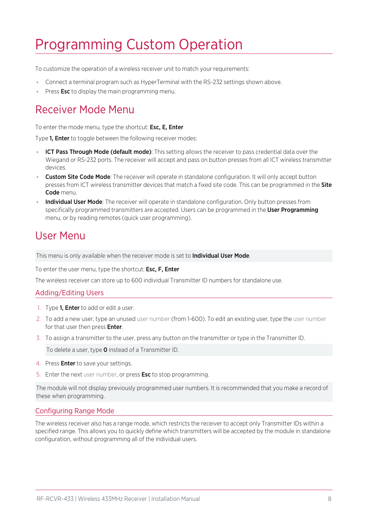## <span id="page-7-0"></span>Programming Custom Operation

To customize the operation of a wireless receiver unit to match your requirements:

- ⦁ Connect a terminal program such as HyperTerminal with the RS-232 settings shown above.
- <span id="page-7-1"></span>■ Press **Esc** to display the main programming menu.

## Receiver Mode Menu

To enter the mode menu, type the shortcut: Esc, E, Enter

Type 1, Enter to toggle between the following receiver modes:

- **ICT Pass Through Mode (default mode)**: This setting allows the receiver to pass credential data over the Wiegand or RS-232 ports. The receiver will accept and pass on button presses from all ICT wireless transmitter devices.
- Custom Site Code Mode: The receiver will operate in standalone configuration. It will only accept button presses from ICT wireless transmitter devices that match a fixed site code. This can be programmed in the Site Code menu.
- Individual User Mode: The receiver will operate in standalone configuration. Only button presses from specifically programmed transmitters are accepted. Users can be programmed in the User Programming menu, or by reading remotes (quick user programming).

### <span id="page-7-2"></span>User Menu

This menu is only available when the receiver mode is set to Individual User Mode.

To enter the user menu, type the shortcut: Esc, F, Enter

The wireless receiver can store up to 600 individual Transmitter ID numbers for standalone use.

#### Adding/Editing Users

- 1. Type 1, Enter to add or edit a user.
- 2. To add a new user, type an unused user number (from 1-600). To edit an existing user, type the user number for that user then press **Enter**.
- 3. To assign a transmitter to the user, press any button on the transmitter or type in the Transmitter ID.

To delete a user, type **0** instead of a Transmitter ID.

- 4. Press **Enter** to save your settings.
- 5. Enter the next user number, or press **Esc** to stop programming.

The module will not display previously programmed user numbers. It is recommended that you make a record of these when programming.

#### Configuring Range Mode

The wireless receiver also has a range mode, which restricts the receiver to accept only Transmitter IDs within a specified range. This allows you to quickly define which transmitters will be accepted by the module in standalone configuration, without programming all of the individual users.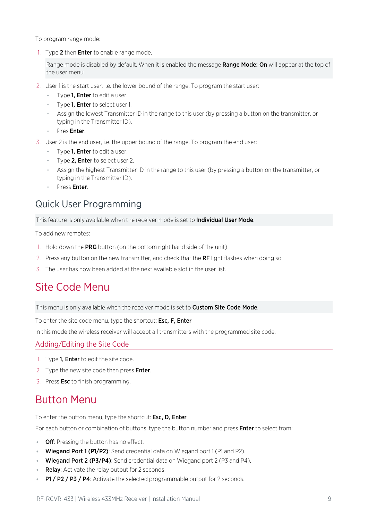To program range mode:

1. Type 2 then **Enter** to enable range mode.

Range mode is disabled by default. When it is enabled the message Range Mode: On will appear at the top of the user menu.

- 2. User 1 is the start user, i.e. the lower bound of the range. To program the start user:
	- Type **1, Enter** to edit a user.
	- Type 1, Enter to select user 1.
	- Assign the lowest Transmitter ID in the range to this user (by pressing a button on the transmitter, or typing in the Transmitter ID).
	- Pres Enter.
- 3. User 2 is the end user, i.e. the upper bound of the range. To program the end user:
	- Type 1, Enter to edit a user.
	- Type 2, Enter to select user 2.
	- Assign the highest Transmitter ID in the range to this user (by pressing a button on the transmitter, or typing in the Transmitter ID).
	- Press Enter.

### <span id="page-8-0"></span>Quick User Programming

This feature is only available when the receiver mode is set to **Individual User Mode**.

To add new remotes:

- 1. Hold down the PRG button (on the bottom right hand side of the unit)
- 2. Press any button on the new transmitter, and check that the RF light flashes when doing so.
- <span id="page-8-1"></span>3. The user has now been added at the next available slot in the user list.

### Site Code Menu

This menu is only available when the receiver mode is set to Custom Site Code Mode.

To enter the site code menu, type the shortcut: Esc, F, Enter

In this mode the wireless receiver will accept all transmitters with the programmed site code.

#### Adding/Editing the Site Code

- 1. Type **1, Enter** to edit the site code.
- 2. Type the new site code then press **Enter**.
- <span id="page-8-2"></span>3. Press Esc to finish programming.

### Button Menu

To enter the button menu, type the shortcut: Esc, D, Enter

For each button or combination of buttons, type the button number and press **Enter** to select from:

- **Off:** Pressing the button has no effect.
- $\bullet$  Wiegand Port 1 (P1/P2): Send credential data on Wiegand port 1 (P1 and P2).
- Wiegand Port 2 (P3/P4): Send credential data on Wiegand port 2 (P3 and P4).
- Relay: Activate the relay output for 2 seconds.
- $\cdot$  P1 / P2 / P3 / P4: Activate the selected programmable output for 2 seconds.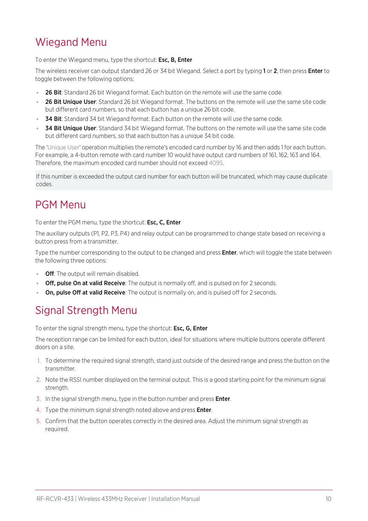## <span id="page-9-0"></span>Wiegand Menu

To enter the Wiegand menu, type the shortcut: Esc, B, Enter

The wireless receiver can output standard 26 or 34 bit Wiegand. Select a port by typing 1 or 2, then press Enter to toggle between the following options:

- 26 Bit: Standard 26 bit Wiegand format. Each button on the remote will use the same code.
- 26 Bit Unique User: Standard 26 bit Wiegand format. The buttons on the remote will use the same site code but different card numbers, so that each button has a unique 26 bit code.
- 34 Bit: Standard 34 bit Wiegand format. Each button on the remote will use the same code.
- 34 Bit Unique User: Standard 34 bit Wiegand format. The buttons on the remote will use the same site code but different card numbers, so that each button has a unique 34 bit code.

The 'Unique User' operation multiplies the remote's encoded card number by 16 and then adds 1 for each button. For example, a 4-button remote with card number 10 would have output card numbers of 161, 162, 163 and 164. Therefore, the maximum encoded card number should not exceed 4095.

<span id="page-9-1"></span>If this number is exceeded the output card number for each button will be truncated, which may cause duplicate codes.

## PGM Menu

To enter the PGM menu, type the shortcut: Esc, C, Enter

The auxiliary outputs (P1, P2, P3, P4) and relay output can be programmed to change state based on receiving a button press from a transmitter.

Type the number corresponding to the output to be changed and press **Enter**, which will toggle the state between the following three options:

- **Off:** The output will remain disabled.
- **Off, pulse On at valid Receive**: The output is normally off, and is pulsed on for 2 seconds.
- <span id="page-9-2"></span>• On, pulse Off at valid Receive: The output is normally on, and is pulsed off for 2 seconds.

## Signal Strength Menu

To enter the signal strength menu, type the shortcut: Esc, G, Enter

The reception range can be limited for each button, ideal for situations where multiple buttons operate different doors on a site.

- 1. To determine the required signal strength, stand just outside of the desired range and press the button on the transmitter.
- 2. Note the RSSI number displayed on the terminal output. This is a good starting point for the minimum signal strength.
- 3. In the signal strength menu, type in the button number and press **Enter**.
- 4. Type the minimum signal strength noted above and press **Enter**.
- 5. Confirm that the button operates correctly in the desired area. Adjust the minimum signal strength as required.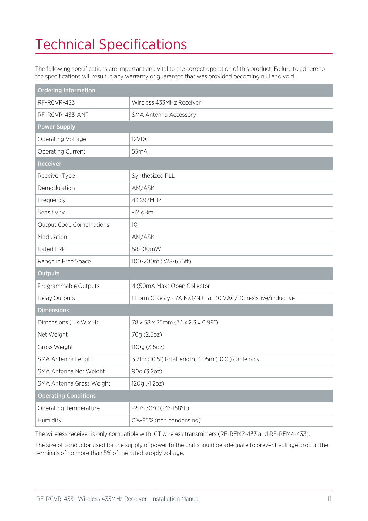# <span id="page-10-0"></span>Technical Specifications

The following specifications are important and vital to the correct operation of this product. Failure to adhere to the specifications will result in any warranty or guarantee that was provided becoming null and void.

| <b>Ordering Information</b>     |                                                               |
|---------------------------------|---------------------------------------------------------------|
| RF-RCVR-433                     | Wireless 433MHz Receiver                                      |
| RF-RCVR-433-ANT                 | <b>SMA Antenna Accessory</b>                                  |
| <b>Power Supply</b>             |                                                               |
| Operating Voltage               | 12VDC                                                         |
| Operating Current               | 55mA                                                          |
| Receiver                        |                                                               |
| Receiver Type                   | Synthesized PLL                                               |
| Demodulation                    | AM/ASK                                                        |
| Frequency                       | 433.92MHz                                                     |
| Sensitivity                     | $-121dBm$                                                     |
| <b>Output Code Combinations</b> | 10                                                            |
| Modulation                      | AM/ASK                                                        |
| Rated ERP                       | 58-100mW                                                      |
| Range in Free Space             | 100-200m (328-656ft)                                          |
| <b>Outputs</b>                  |                                                               |
| Programmable Outputs            | 4 (50mA Max) Open Collector                                   |
| Relay Outputs                   | 1 Form C Relay - 7A N.O/N.C. at 30 VAC/DC resistive/inductive |
| <b>Dimensions</b>               |                                                               |
| Dimensions (L x W x H)          | 78 x 58 x 25mm (3.1 x 2.3 x 0.98")                            |
| Net Weight                      | 70g (2.5oz)                                                   |
| Gross Weight                    | 100g (3.5oz)                                                  |
| SMA Antenna Length              | 3.21m (10.5') total length, 3.05m (10.0') cable only          |
| SMA Antenna Net Weight          | 90g (3.2oz)                                                   |
| SMA Antenna Gross Weight        | 120g (4.2oz)                                                  |
| <b>Operating Conditions</b>     |                                                               |
| Operating Temperature           | $-20^{\circ} - 70^{\circ}$ C ( $-4^{\circ}$ -158°F)           |
| Humidity                        | 0%-85% (non condensing)                                       |

The wireless receiver is only compatible with ICT wireless transmitters (RF-REM2-433 and RF-REM4-433).

The size of conductor used for the supply of power to the unit should be adequate to prevent voltage drop at the terminals of no more than 5% of the rated supply voltage.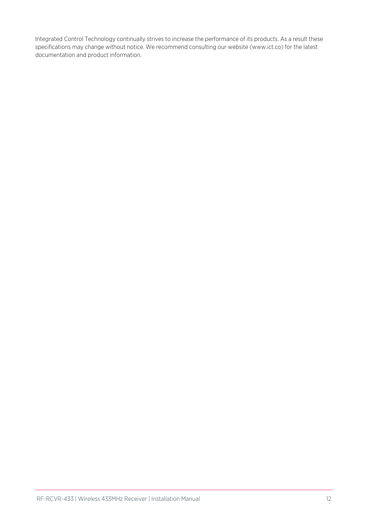Integrated Control Technology continually strives to increase the performance of its products. As a result these specifications may change without notice. We recommend consulting our website (www.ict.co) for the latest documentation and product information.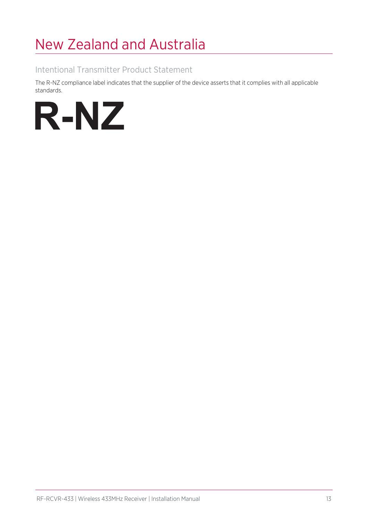# <span id="page-12-0"></span>New Zealand and Australia

#### Intentional Transmitter Product Statement

The R-NZ compliance label indicates that the supplier of the device asserts that it complies with all applicable standards.

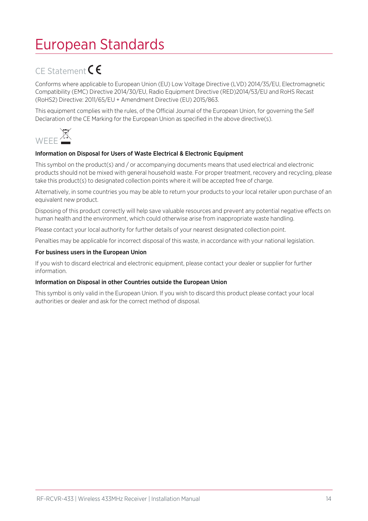## <span id="page-13-0"></span>European Standards

## CE Statement CE

Conforms where applicable to European Union (EU) Low Voltage Directive (LVD) 2014/35/EU, Electromagnetic Compatibility (EMC) Directive 2014/30/EU, Radio Equipment Directive (RED)2014/53/EU and RoHS Recast (RoHS2) Directive: 2011/65/EU + Amendment Directive (EU) 2015/863.

This equipment complies with the rules, of the Official Journal of the European Union, for governing the Self Declaration of the CE Marking for the European Union as specified in the above directive(s).



#### Information on Disposal for Users of Waste Electrical & Electronic Equipment

This symbol on the product(s) and / or accompanying documents means that used electrical and electronic products should not be mixed with general household waste. For proper treatment, recovery and recycling, please take this product(s) to designated collection points where it will be accepted free of charge.

Alternatively, in some countries you may be able to return your products to your local retailer upon purchase of an equivalent new product.

Disposing of this product correctly will help save valuable resources and prevent any potential negative effects on human health and the environment, which could otherwise arise from inappropriate waste handling.

Please contact your local authority for further details of your nearest designated collection point.

Penalties may be applicable for incorrect disposal of this waste, in accordance with your national legislation.

#### For business users in the European Union

If you wish to discard electrical and electronic equipment, please contact your dealer or supplier for further information.

#### Information on Disposal in other Countries outside the European Union

This symbol is only valid in the European Union. If you wish to discard this product please contact your local authorities or dealer and ask for the correct method of disposal.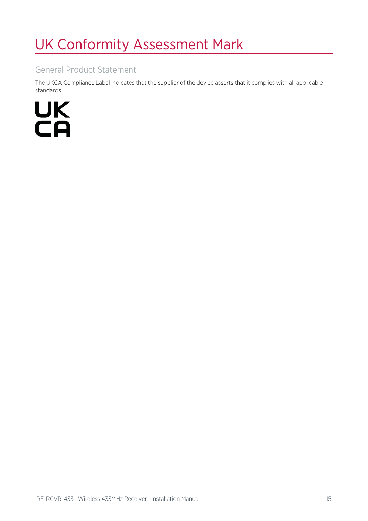# <span id="page-14-0"></span>UK Conformity Assessment Mark

#### General Product Statement

The UKCA Compliance Label indicates that the supplier of the device asserts that it complies with all applicable standards.

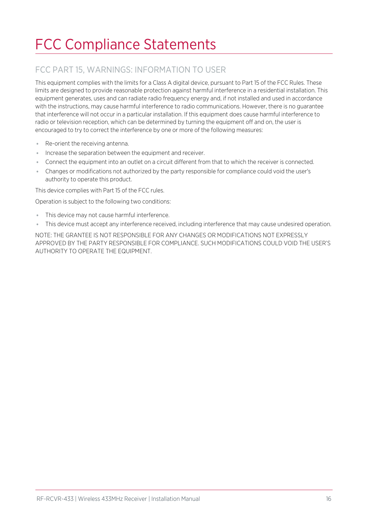# <span id="page-15-0"></span>FCC Compliance Statements

### FCC PART 15, WARNINGS: INFORMATION TO USER

This equipment complies with the limits for a Class A digital device, pursuant to Part 15 of the FCC Rules. These limits are designed to provide reasonable protection against harmful interference in a residential installation. This equipment generates, uses and can radiate radio frequency energy and, if not installed and used in accordance with the instructions, may cause harmful interference to radio communications. However, there is no guarantee that interference will not occur in a particular installation. If this equipment does cause harmful interference to radio or television reception, which can be determined by turning the equipment off and on, the user is encouraged to try to correct the interference by one or more of the following measures:

- ⦁ Re-orient the receiving antenna.
- ⦁ Increase the separation between the equipment and receiver.
- ⦁ Connect the equipment into an outlet on a circuit different from that to which the receiver is connected.
- ⦁ Changes or modifications not authorized by the party responsible for compliance could void the user's authority to operate this product.

This device complies with Part 15 of the FCC rules.

Operation is subject to the following two conditions:

- This device may not cause harmful interference.
- ⦁ This device must accept any interference received, including interference that may cause undesired operation.

NOTE: THE GRANTEE IS NOT RESPONSIBLE FOR ANY CHANGES OR MODIFICATIONS NOT EXPRESSLY APPROVED BY THE PARTY RESPONSIBLE FOR COMPLIANCE. SUCH MODIFICATIONS COULD VOID THE USER'S AUTHORITY TO OPERATE THE EQUIPMENT.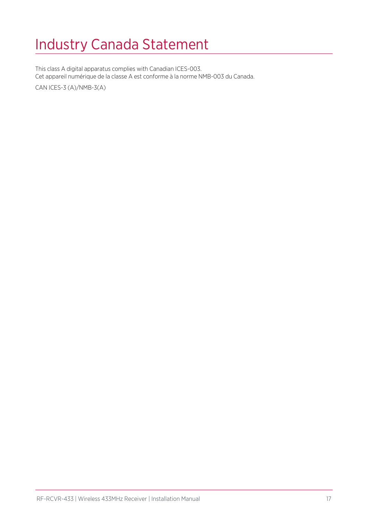## <span id="page-16-0"></span>Industry Canada Statement

This class A digital apparatus complies with Canadian ICES-003. Cet appareil numérique de la classe A est conforme à la norme NMB-003 du Canada.

CAN ICES-3 (A)/NMB-3(A)